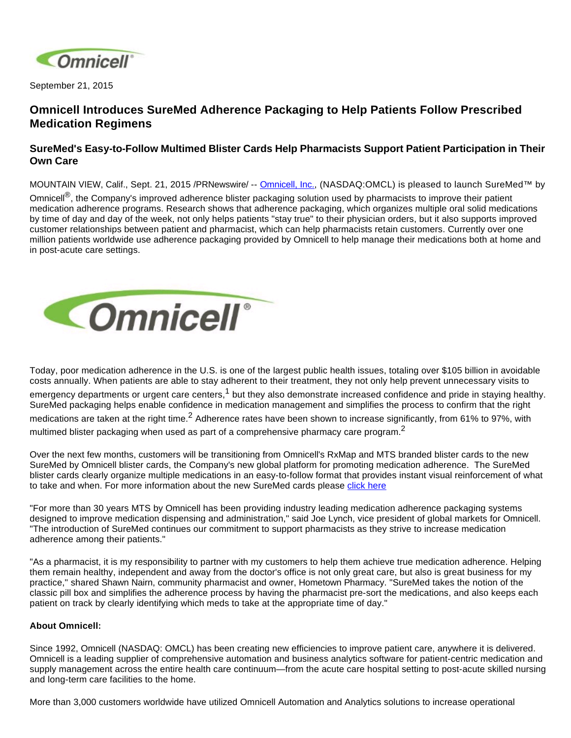

September 21, 2015

## **Omnicell Introduces SureMed Adherence Packaging to Help Patients Follow Prescribed Medication Regimens**

## **SureMed's Easy-to-Follow Multimed Blister Cards Help Pharmacists Support Patient Participation in Their Own Care**

MOUNTAIN VIEW, Calif., Sept. 21, 2015 /PRNewswire/ -- [Omnicell, Inc.](http://www.omnicell.com/), (NASDAQ:OMCL) is pleased to launch SureMed™ by Omnicell<sup>®</sup>, the Company's improved adherence blister packaging solution used by pharmacists to improve their patient medication adherence programs. Research shows that adherence packaging, which organizes multiple oral solid medications by time of day and day of the week, not only helps patients "stay true" to their physician orders, but it also supports improved customer relationships between patient and pharmacist, which can help pharmacists retain customers. Currently over one million patients worldwide use adherence packaging provided by Omnicell to help manage their medications both at home and in post-acute care settings.



Today, poor medication adherence in the U.S. is one of the largest public health issues, totaling over \$105 billion in avoidable costs annually. When patients are able to stay adherent to their treatment, they not only help prevent unnecessary visits to emergency departments or urgent care centers,<sup>1</sup> but they also demonstrate increased confidence and pride in staying healthy. SureMed packaging helps enable confidence in medication management and simplifies the process to confirm that the right medications are taken at the right time.<sup>2</sup> Adherence rates have been shown to increase significantly, from 61% to 97%, with multimed blister packaging when used as part of a comprehensive pharmacy care program.<sup>2</sup>

Over the next few months, customers will be transitioning from Omnicell's RxMap and MTS branded blister cards to the new SureMed by Omnicell blister cards, the Company's new global platform for promoting medication adherence. The SureMed blister cards clearly organize multiple medications in an easy-to-follow format that provides instant visual reinforcement of what to take and when. For more information about the new SureMed cards please click here

"For more than 30 years MTS by Omnicell has been providing industry leading medication adherence packaging systems designed to improve medication dispensing and administration," said Joe Lynch, vice president of global markets for Omnicell. "The introduction of SureMed continues our commitment to support pharmacists as they strive to increase medication adherence among their patients."

"As a pharmacist, it is my responsibility to partner with my customers to help them achieve true medication adherence. Helping them remain healthy, independent and away from the doctor's office is not only great care, but also is great business for my practice," shared Shawn Nairn, community pharmacist and owner, Hometown Pharmacy. "SureMed takes the notion of the classic pill box and simplifies the adherence process by having the pharmacist pre-sort the medications, and also keeps each patient on track by clearly identifying which meds to take at the appropriate time of day."

## **About Omnicell:**

Since 1992, Omnicell (NASDAQ: OMCL) has been creating new efficiencies to improve patient care, anywhere it is delivered. Omnicell is a leading supplier of comprehensive automation and business analytics software for patient-centric medication and supply management across the entire health care continuum—from the acute care hospital setting to post-acute skilled nursing and long-term care facilities to the home.

More than 3,000 customers worldwide have utilized Omnicell Automation and Analytics solutions to increase operational